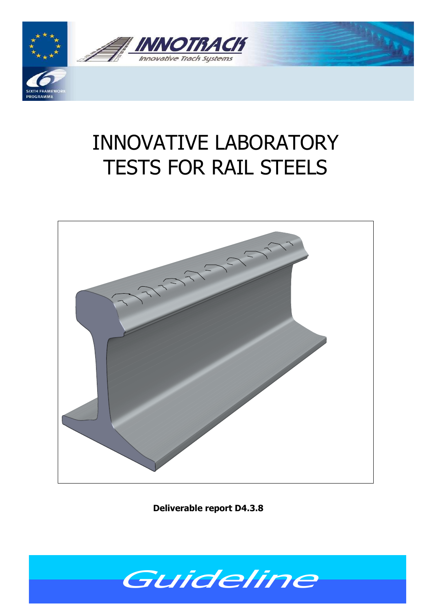

# INNOVATIVE LABORATORY TESTS FOR RAIL STEELS



**Deliverable report D4.3.8**

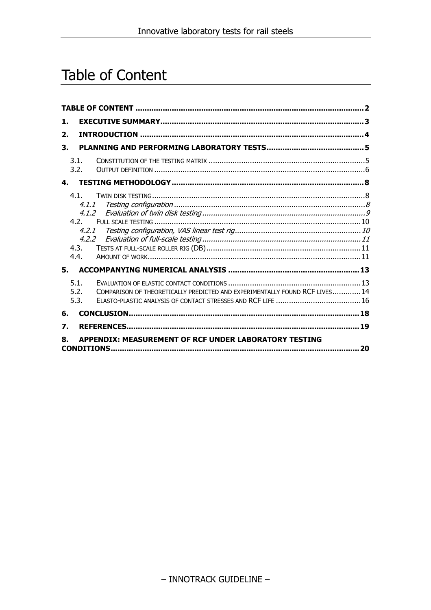# Table of Content

| 1. |       |                                                                             |    |
|----|-------|-----------------------------------------------------------------------------|----|
| 2. |       |                                                                             |    |
| 3. |       |                                                                             |    |
|    | 3.1.  |                                                                             |    |
|    | 3.2.  |                                                                             |    |
| 4. |       |                                                                             |    |
|    | 4.1.  |                                                                             |    |
|    | 4.1.1 |                                                                             |    |
|    |       |                                                                             |    |
|    | 4.2.  |                                                                             |    |
|    |       | 4.2.1                                                                       |    |
|    | 4.3.  | 4.2.2                                                                       |    |
|    | 4.4.  |                                                                             |    |
| 5. |       |                                                                             |    |
|    | 5.1.  |                                                                             |    |
|    | 5.2.  | COMPARISON OF THEORETICALLY PREDICTED AND EXPERIMENTALLY FOUND RCF LIVES 14 |    |
|    | 5.3.  |                                                                             |    |
| 6. |       |                                                                             |    |
| 7. |       |                                                                             |    |
| 8. |       | APPENDIX: MEASUREMENT OF RCF UNDER LABORATORY TESTING                       |    |
|    |       |                                                                             | 20 |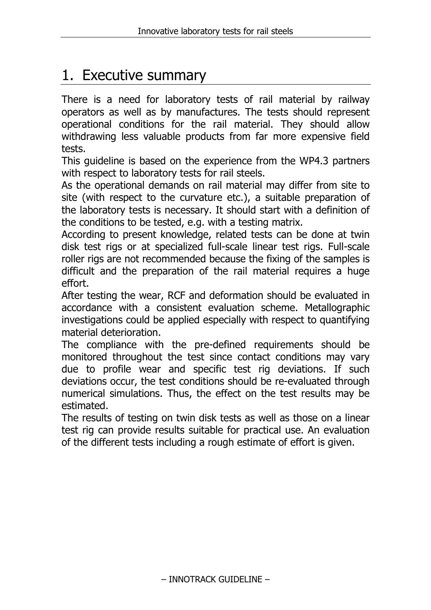# 1. Executive summary

There is a need for laboratory tests of rail material by railway operators as well as by manufactures. The tests should represent operational conditions for the rail material. They should allow withdrawing less valuable products from far more expensive field tests.

This guideline is based on the experience from the WP4.3 partners with respect to laboratory tests for rail steels.

As the operational demands on rail material may differ from site to site (with respect to the curvature etc.), a suitable preparation of the laboratory tests is necessary. It should start with a definition of the conditions to be tested, e.g. with a testing matrix.

According to present knowledge, related tests can be done at twin disk test rigs or at specialized full-scale linear test rigs. Full-scale roller rigs are not recommended because the fixing of the samples is difficult and the preparation of the rail material requires a huge effort.

After testing the wear, RCF and deformation should be evaluated in accordance with a consistent evaluation scheme. Metallographic investigations could be applied especially with respect to quantifying material deterioration.

The compliance with the pre-defined requirements should be monitored throughout the test since contact conditions may vary due to profile wear and specific test rig deviations. If such deviations occur, the test conditions should be re-evaluated through numerical simulations. Thus, the effect on the test results may be estimated.

The results of testing on twin disk tests as well as those on a linear test rig can provide results suitable for practical use. An evaluation of the different tests including a rough estimate of effort is given.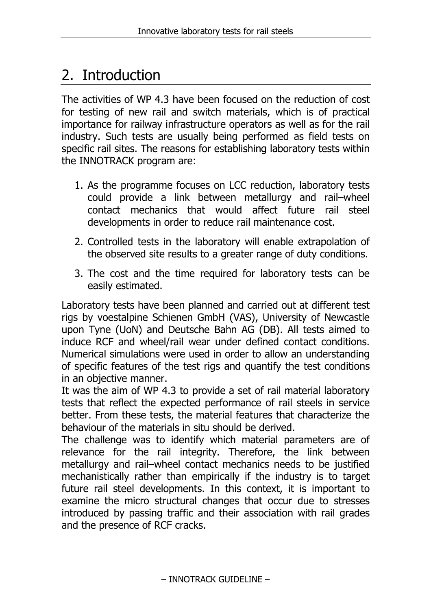# 2. Introduction

The activities of WP 4.3 have been focused on the reduction of cost for testing of new rail and switch materials, which is of practical importance for railway infrastructure operators as well as for the rail industry. Such tests are usually being performed as field tests on specific rail sites. The reasons for establishing laboratory tests within the INNOTRACK program are:

- 1. As the programme focuses on LCC reduction, laboratory tests could provide a link between metallurgy and rail–wheel contact mechanics that would affect future rail steel developments in order to reduce rail maintenance cost.
- 2. Controlled tests in the laboratory will enable extrapolation of the observed site results to a greater range of duty conditions.
- 3. The cost and the time required for laboratory tests can be easily estimated.

Laboratory tests have been planned and carried out at different test rigs by voestalpine Schienen GmbH (VAS), University of Newcastle upon Tyne (UoN) and Deutsche Bahn AG (DB). All tests aimed to induce RCF and wheel/rail wear under defined contact conditions. Numerical simulations were used in order to allow an understanding of specific features of the test rigs and quantify the test conditions in an objective manner.

It was the aim of WP 4.3 to provide a set of rail material laboratory tests that reflect the expected performance of rail steels in service better. From these tests, the material features that characterize the behaviour of the materials in situ should be derived.

The challenge was to identify which material parameters are of relevance for the rail integrity. Therefore, the link between metallurgy and rail–wheel contact mechanics needs to be justified mechanistically rather than empirically if the industry is to target future rail steel developments. In this context, it is important to examine the micro structural changes that occur due to stresses introduced by passing traffic and their association with rail grades and the presence of RCF cracks.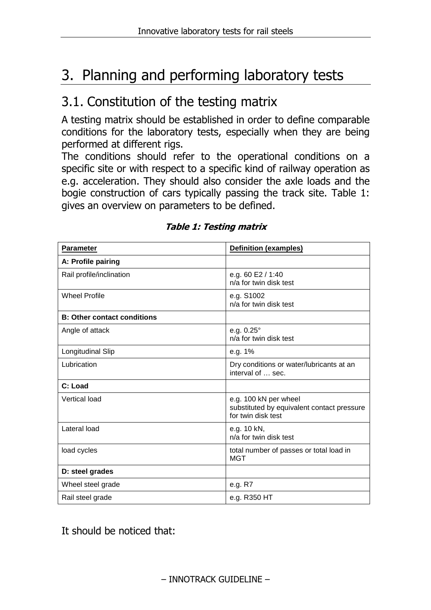# 3. Planning and performing laboratory tests

### 3.1. Constitution of the testing matrix

A testing matrix should be established in order to define comparable conditions for the laboratory tests, especially when they are being performed at different rigs.

The conditions should refer to the operational conditions on a specific site or with respect to a specific kind of railway operation as e.g. acceleration. They should also consider the axle loads and the bogie construction of cars typically passing the track site. Table 1: gives an overview on parameters to be defined.

| <b>Parameter</b>                   | <b>Definition (examples)</b>                                                              |  |  |
|------------------------------------|-------------------------------------------------------------------------------------------|--|--|
| A: Profile pairing                 |                                                                                           |  |  |
| Rail profile/inclination           | e.g. 60 E2 / 1:40<br>n/a for twin disk test                                               |  |  |
| <b>Wheel Profile</b>               | e.g. S1002<br>n/a for twin disk test                                                      |  |  |
| <b>B: Other contact conditions</b> |                                                                                           |  |  |
| Angle of attack                    | e.g. $0.25^{\circ}$<br>n/a for twin disk test                                             |  |  |
| <b>Longitudinal Slip</b>           | e.g. 1%                                                                                   |  |  |
| Lubrication                        | Dry conditions or water/lubricants at an<br>interval of  sec.                             |  |  |
| C: Load                            |                                                                                           |  |  |
| <b>Vertical load</b>               | e.g. 100 kN per wheel<br>substituted by equivalent contact pressure<br>for twin disk test |  |  |
| Lateral load                       | e.g. 10 kN,<br>n/a for twin disk test                                                     |  |  |
| load cycles                        | total number of passes or total load in<br><b>MGT</b>                                     |  |  |
| D: steel grades                    |                                                                                           |  |  |
| Wheel steel grade                  | e.g. R7                                                                                   |  |  |
| Rail steel grade                   | e.g. R350 HT                                                                              |  |  |

#### **Table 1: Testing matrix**

It should be noticed that: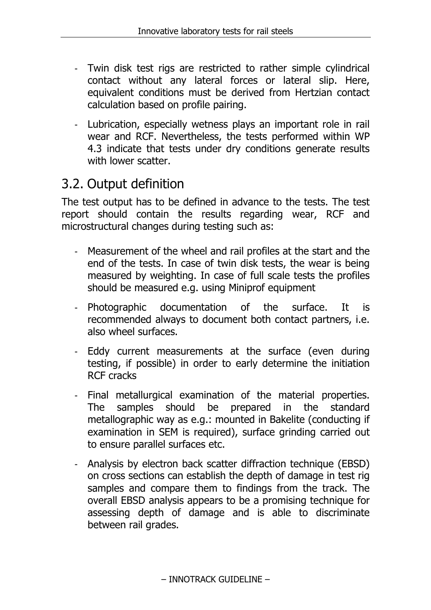- Twin disk test rigs are restricted to rather simple cylindrical contact without any lateral forces or lateral slip. Here, equivalent conditions must be derived from Hertzian contact calculation based on profile pairing.
- Lubrication, especially wetness plays an important role in rail wear and RCF. Nevertheless, the tests performed within WP 4.3 indicate that tests under dry conditions generate results with lower scatter.

### 3.2. Output definition

The test output has to be defined in advance to the tests. The test report should contain the results regarding wear, RCF and microstructural changes during testing such as:

- Measurement of the wheel and rail profiles at the start and the end of the tests. In case of twin disk tests, the wear is being measured by weighting. In case of full scale tests the profiles should be measured e.g. using Miniprof equipment
- Photographic documentation of the surface. It is recommended always to document both contact partners, i.e. also wheel surfaces.
- Eddy current measurements at the surface (even during testing, if possible) in order to early determine the initiation RCF cracks
- Final metallurgical examination of the material properties. The samples should be prepared in the standard metallographic way as e.g.: mounted in Bakelite (conducting if examination in SEM is required), surface grinding carried out to ensure parallel surfaces etc.
- Analysis by electron back scatter diffraction technique (EBSD) on cross sections can establish the depth of damage in test rig samples and compare them to findings from the track. The overall EBSD analysis appears to be a promising technique for assessing depth of damage and is able to discriminate between rail grades.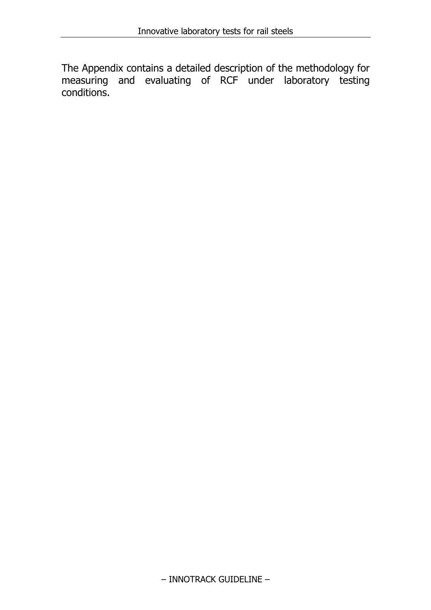The Appendix contains a detailed description of the methodology for measuring and evaluating of RCF under laboratory testing conditions.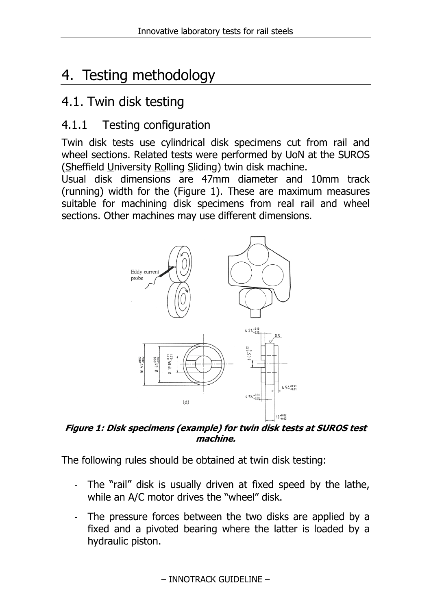# 4. Testing methodology

### 4.1. Twin disk testing

#### 4.1.1 Testing configuration

Twin disk tests use cylindrical disk specimens cut from rail and wheel sections. Related tests were performed by UoN at the SUROS (Sheffield University Rolling Sliding) twin disk machine.

Usual disk dimensions are 47mm diameter and 10mm track (running) width for the (Figure 1). These are maximum measures suitable for machining disk specimens from real rail and wheel sections. Other machines may use different dimensions.



**Figure 1: Disk specimens (example) for twin disk tests at SUROS test machine.** 

The following rules should be obtained at twin disk testing:

- The "rail" disk is usually driven at fixed speed by the lathe, while an A/C motor drives the "wheel" disk.
- The pressure forces between the two disks are applied by a fixed and a pivoted bearing where the latter is loaded by a hydraulic piston.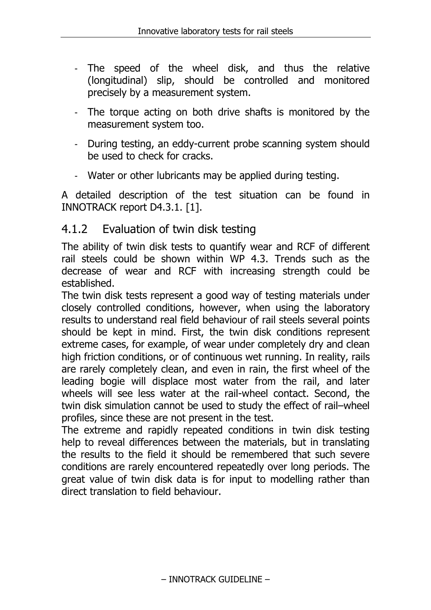- The speed of the wheel disk, and thus the relative (longitudinal) slip, should be controlled and monitored precisely by a measurement system.
- The torque acting on both drive shafts is monitored by the measurement system too.
- During testing, an eddy-current probe scanning system should be used to check for cracks.
- Water or other lubricants may be applied during testing.

A detailed description of the test situation can be found in INNOTRACK report D4.3.1. [1].

#### 4.1.2 Evaluation of twin disk testing

The ability of twin disk tests to quantify wear and RCF of different rail steels could be shown within WP 4.3. Trends such as the decrease of wear and RCF with increasing strength could be established.

The twin disk tests represent a good way of testing materials under closely controlled conditions, however, when using the laboratory results to understand real field behaviour of rail steels several points should be kept in mind. First, the twin disk conditions represent extreme cases, for example, of wear under completely dry and clean high friction conditions, or of continuous wet running. In reality, rails are rarely completely clean, and even in rain, the first wheel of the leading bogie will displace most water from the rail, and later wheels will see less water at the rail-wheel contact. Second, the twin disk simulation cannot be used to study the effect of rail–wheel profiles, since these are not present in the test.

The extreme and rapidly repeated conditions in twin disk testing help to reveal differences between the materials, but in translating the results to the field it should be remembered that such severe conditions are rarely encountered repeatedly over long periods. The great value of twin disk data is for input to modelling rather than direct translation to field behaviour.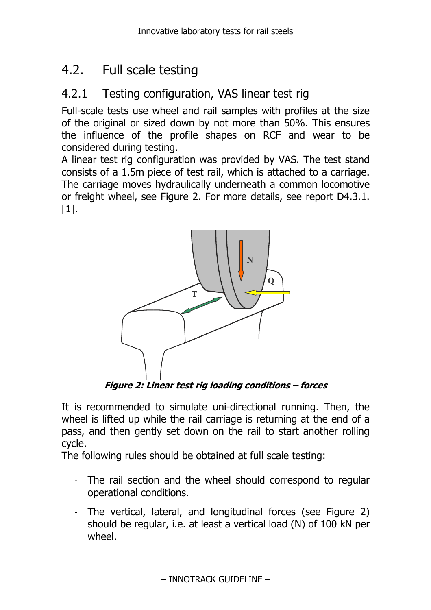### 4.2. Full scale testing

#### 4.2.1 Testing configuration, VAS linear test rig

Full-scale tests use wheel and rail samples with profiles at the size of the original or sized down by not more than 50%. This ensures the influence of the profile shapes on RCF and wear to be considered during testing.

A linear test rig configuration was provided by VAS. The test stand consists of a 1.5m piece of test rail, which is attached to a carriage. The carriage moves hydraulically underneath a common locomotive or freight wheel, see Figure 2. For more details, see report D4.3.1. [1].



**Figure 2: Linear test rig loading conditions – forces** 

It is recommended to simulate uni-directional running. Then, the wheel is lifted up while the rail carriage is returning at the end of a pass, and then gently set down on the rail to start another rolling cycle.

The following rules should be obtained at full scale testing:

- The rail section and the wheel should correspond to regular operational conditions.
- The vertical, lateral, and longitudinal forces (see Figure 2) should be regular, i.e. at least a vertical load (N) of 100 kN per wheel.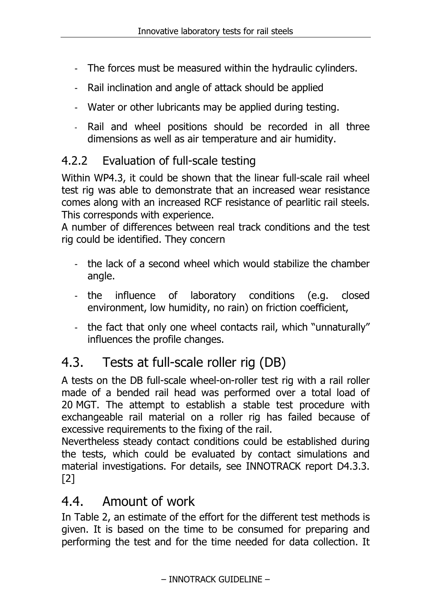- The forces must be measured within the hydraulic cylinders.
- Rail inclination and angle of attack should be applied
- Water or other lubricants may be applied during testing.
- Rail and wheel positions should be recorded in all three dimensions as well as air temperature and air humidity.

#### 4.2.2 Evaluation of full-scale testing

Within WP4.3, it could be shown that the linear full-scale rail wheel test rig was able to demonstrate that an increased wear resistance comes along with an increased RCF resistance of pearlitic rail steels. This corresponds with experience.

A number of differences between real track conditions and the test rig could be identified. They concern

- the lack of a second wheel which would stabilize the chamber angle.
- the influence of laboratory conditions (e.g. closed environment, low humidity, no rain) on friction coefficient,
- the fact that only one wheel contacts rail, which "unnaturally" influences the profile changes.

## 4.3. Tests at full-scale roller rig (DB)

A tests on the DB full-scale wheel-on-roller test rig with a rail roller made of a bended rail head was performed over a total load of 20 MGT. The attempt to establish a stable test procedure with exchangeable rail material on a roller rig has failed because of excessive requirements to the fixing of the rail.

Nevertheless steady contact conditions could be established during the tests, which could be evaluated by contact simulations and material investigations. For details, see INNOTRACK report D4.3.3. [2]

### 4.4. Amount of work

In Table 2, an estimate of the effort for the different test methods is given. It is based on the time to be consumed for preparing and performing the test and for the time needed for data collection. It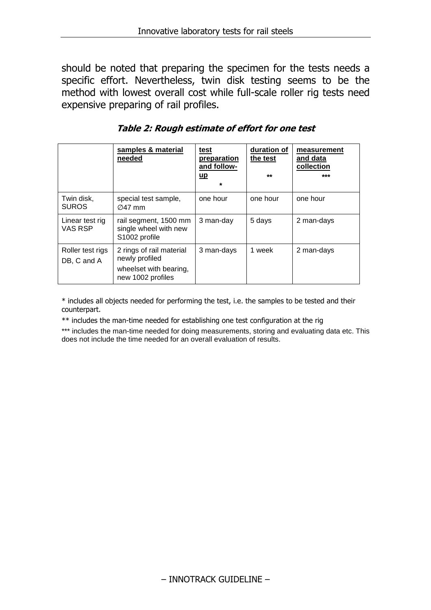should be noted that preparing the specimen for the tests needs a specific effort. Nevertheless, twin disk testing seems to be the method with lowest overall cost while full-scale roller rig tests need expensive preparing of rail profiles.

|                                 | samples & material<br>needed                                                              | <u>test</u><br>preparation<br>and follow-<br>$\mathsf{u}\mathsf{p}$<br>$\star$ | duration of<br>the test<br>$***$ | measurement<br>and data<br>collection<br>*** |
|---------------------------------|-------------------------------------------------------------------------------------------|--------------------------------------------------------------------------------|----------------------------------|----------------------------------------------|
| Twin disk,<br><b>SUROS</b>      | special test sample,<br>$\varnothing$ 47 mm                                               | one hour                                                                       | one hour                         | one hour                                     |
| Linear test rig<br>VAS RSP      | rail segment, 1500 mm<br>single wheel with new<br>S <sub>1002</sub> profile               | 3 man-day                                                                      | 5 days                           | 2 man-days                                   |
| Roller test rigs<br>DB, C and A | 2 rings of rail material<br>newly profiled<br>wheelset with bearing,<br>new 1002 profiles | 3 man-days                                                                     | 1 week                           | 2 man-days                                   |

**Table 2: Rough estimate of effort for one test** 

\* includes all objects needed for performing the test, i.e. the samples to be tested and their counterpart.

\*\* includes the man-time needed for establishing one test configuration at the rig

\*\*\* includes the man-time needed for doing measurements, storing and evaluating data etc. This does not include the time needed for an overall evaluation of results.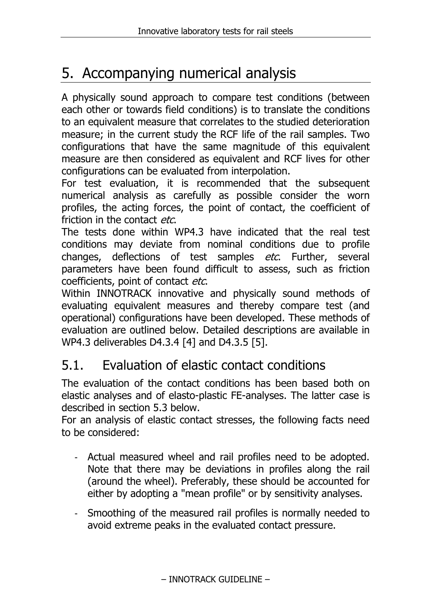# 5. Accompanying numerical analysis

A physically sound approach to compare test conditions (between each other or towards field conditions) is to translate the conditions to an equivalent measure that correlates to the studied deterioration measure; in the current study the RCF life of the rail samples. Two configurations that have the same magnitude of this equivalent measure are then considered as equivalent and RCF lives for other configurations can be evaluated from interpolation.

For test evaluation, it is recommended that the subsequent numerical analysis as carefully as possible consider the worn profiles, the acting forces, the point of contact, the coefficient of friction in the contact etc.

The tests done within WP4.3 have indicated that the real test conditions may deviate from nominal conditions due to profile changes, deflections of test samples *etc*. Further, several parameters have been found difficult to assess, such as friction coefficients, point of contact etc.

Within INNOTRACK innovative and physically sound methods of evaluating equivalent measures and thereby compare test (and operational) configurations have been developed. These methods of evaluation are outlined below. Detailed descriptions are available in WP4.3 deliverables D4.3.4 [4] and D4.3.5 [5].

### 5.1. Evaluation of elastic contact conditions

The evaluation of the contact conditions has been based both on elastic analyses and of elasto-plastic FE-analyses. The latter case is described in section 5.3 below.

For an analysis of elastic contact stresses, the following facts need to be considered:

- Actual measured wheel and rail profiles need to be adopted. Note that there may be deviations in profiles along the rail (around the wheel). Preferably, these should be accounted for either by adopting a "mean profile" or by sensitivity analyses.
- Smoothing of the measured rail profiles is normally needed to avoid extreme peaks in the evaluated contact pressure.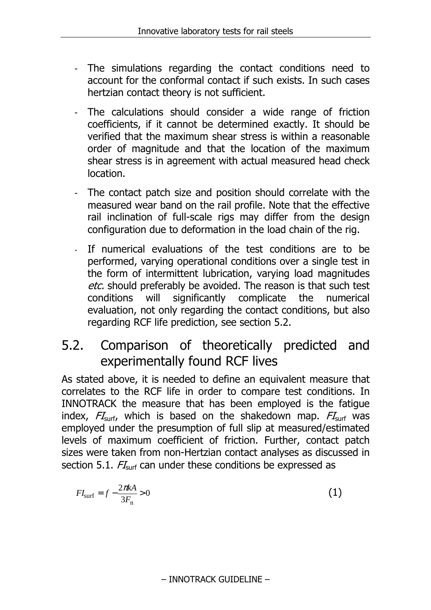- The simulations regarding the contact conditions need to account for the conformal contact if such exists. In such cases hertzian contact theory is not sufficient.
- The calculations should consider a wide range of friction coefficients, if it cannot be determined exactly. It should be verified that the maximum shear stress is within a reasonable order of magnitude and that the location of the maximum shear stress is in agreement with actual measured head check location.
- The contact patch size and position should correlate with the measured wear band on the rail profile. Note that the effective rail inclination of full-scale rigs may differ from the design configuration due to deformation in the load chain of the rig.
- If numerical evaluations of the test conditions are to be performed, varying operational conditions over a single test in the form of intermittent lubrication, varying load magnitudes etc. should preferably be avoided. The reason is that such test conditions will significantly complicate the numerical evaluation, not only regarding the contact conditions, but also regarding RCF life prediction, see section 5.2.

### 5.2. Comparison of theoretically predicted and experimentally found RCF lives

As stated above, it is needed to define an equivalent measure that correlates to the RCF life in order to compare test conditions. In INNOTRACK the measure that has been employed is the fatigue index,  $FI_{surf}$ , which is based on the shakedown map.  $FI_{surf}$  was employed under the presumption of full slip at measured/estimated levels of maximum coefficient of friction. Further, contact patch sizes were taken from non-Hertzian contact analyses as discussed in section 5.1.  $FI<sub>surf</sub>$  can under these conditions be expressed as

$$
FI_{\text{surf}} = f - \frac{2\pi k}{3F_{\text{n}}} > 0\tag{1}
$$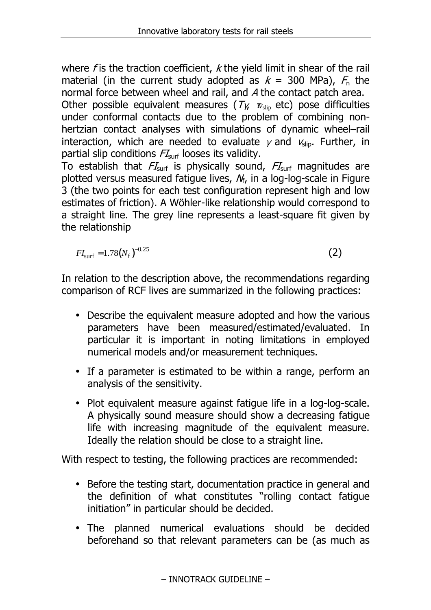where  $f$  is the traction coefficient,  $k$  the yield limit in shear of the rail material (in the current study adopted as  $k = 300$  MPa),  $F_n$  the normal force between wheel and rail, and A the contact patch area.

Other possible equivalent measures ( $T_{\gamma}$ ,  $v_{\text{slip}}$  etc) pose difficulties under conformal contacts due to the problem of combining nonhertzian contact analyses with simulations of dynamic wheel–rail interaction, which are needed to evaluate  $\gamma$  and  $v_{\text{slip}}$ . Further, in partial slip conditions  $FI_{\text{surf}}$  looses its validity.

To establish that  $FI<sub>surf</sub>$  is physically sound,  $FI<sub>surf</sub>$  magnitudes are plotted versus measured fatigue lives,  $N_f$ , in a log-log-scale in Figure 3 (the two points for each test configuration represent high and low estimates of friction). A Wöhler-like relationship would correspond to a straight line. The grey line represents a least-square fit given by the relationship

$$
FI_{\rm surf} = 1.78(N_{\rm f})^{-0.25}
$$
 (2)

In relation to the description above, the recommendations regarding comparison of RCF lives are summarized in the following practices:

- Describe the equivalent measure adopted and how the various parameters have been measured/estimated/evaluated. In particular it is important in noting limitations in employed numerical models and/or measurement techniques.
- If a parameter is estimated to be within a range, perform an analysis of the sensitivity.
- Plot equivalent measure against fatigue life in a log-log-scale. A physically sound measure should show a decreasing fatigue life with increasing magnitude of the equivalent measure. Ideally the relation should be close to a straight line.

With respect to testing, the following practices are recommended:

- Before the testing start, documentation practice in general and the definition of what constitutes "rolling contact fatigue initiation" in particular should be decided.
- The planned numerical evaluations should be decided beforehand so that relevant parameters can be (as much as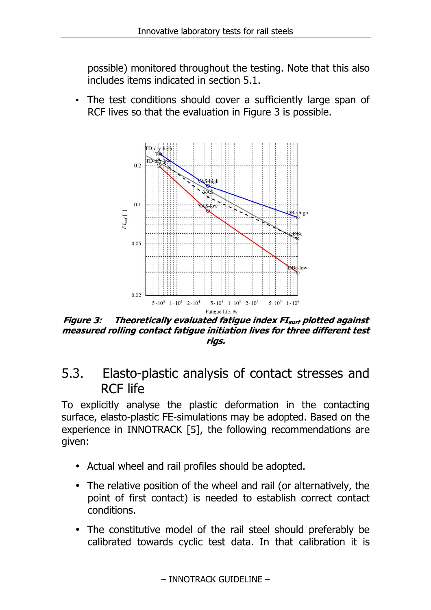possible) monitored throughout the testing. Note that this also includes items indicated in section 5.1.

The test conditions should cover a sufficiently large span of RCF lives so that the evaluation in Figure 3 is possible.



**Figure 3: Theoretically evaluated fatigue index FIsurf plotted against measured rolling contact fatigue initiation lives for three different test rigs.** 

5.3. Elasto-plastic analysis of contact stresses and RCF life

To explicitly analyse the plastic deformation in the contacting surface, elasto-plastic FE-simulations may be adopted. Based on the experience in INNOTRACK [5], the following recommendations are given:

- Actual wheel and rail profiles should be adopted.
- The relative position of the wheel and rail (or alternatively, the point of first contact) is needed to establish correct contact conditions.
- The constitutive model of the rail steel should preferably be calibrated towards cyclic test data. In that calibration it is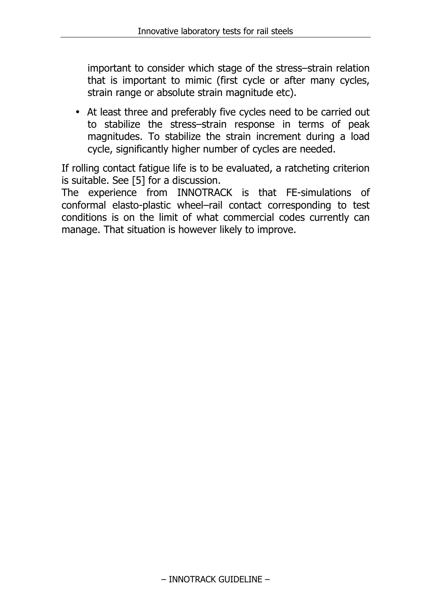important to consider which stage of the stress–strain relation that is important to mimic (first cycle or after many cycles, strain range or absolute strain magnitude etc).

• At least three and preferably five cycles need to be carried out to stabilize the stress–strain response in terms of peak magnitudes. To stabilize the strain increment during a load cycle, significantly higher number of cycles are needed.

If rolling contact fatigue life is to be evaluated, a ratcheting criterion is suitable. See [5] for a discussion.

The experience from INNOTRACK is that FE-simulations of conformal elasto-plastic wheel–rail contact corresponding to test conditions is on the limit of what commercial codes currently can manage. That situation is however likely to improve.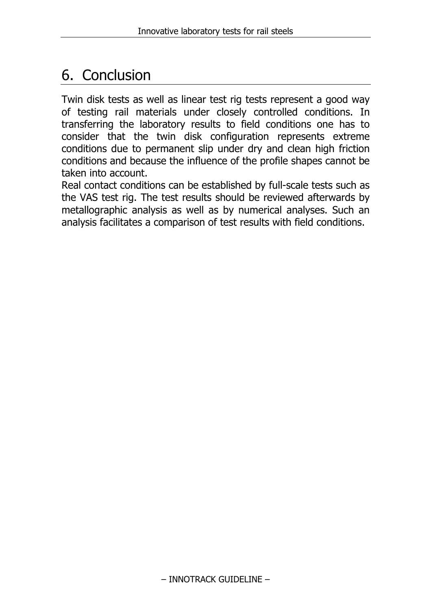# 6. Conclusion

Twin disk tests as well as linear test rig tests represent a good way of testing rail materials under closely controlled conditions. In transferring the laboratory results to field conditions one has to consider that the twin disk configuration represents extreme conditions due to permanent slip under dry and clean high friction conditions and because the influence of the profile shapes cannot be taken into account.

Real contact conditions can be established by full-scale tests such as the VAS test rig. The test results should be reviewed afterwards by metallographic analysis as well as by numerical analyses. Such an analysis facilitates a comparison of test results with field conditions.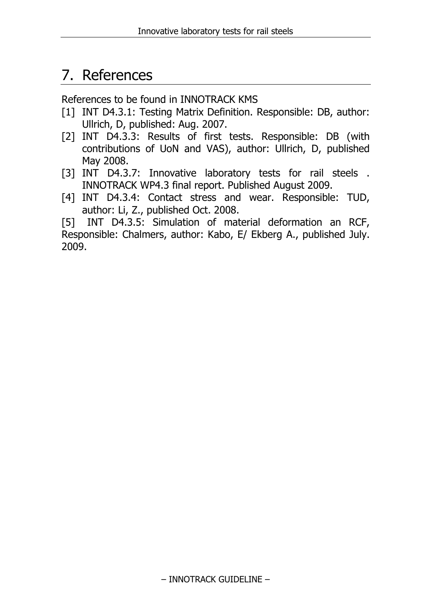### 7. References

References to be found in INNOTRACK KMS

- [1] INT D4.3.1: Testing Matrix Definition. Responsible: DB, author: Ullrich, D, published: Aug. 2007.
- [2] INT D4.3.3: Results of first tests. Responsible: DB (with contributions of UoN and VAS), author: Ullrich, D, published May 2008.
- [3] INT D4.3.7: Innovative laboratory tests for rail steels. INNOTRACK WP4.3 final report. Published August 2009.
- [4] INT D4.3.4: Contact stress and wear. Responsible: TUD, author: Li, Z., published Oct. 2008.

[5] INT D4.3.5: Simulation of material deformation an RCF, Responsible: Chalmers, author: Kabo, E/ Ekberg A., published July. 2009.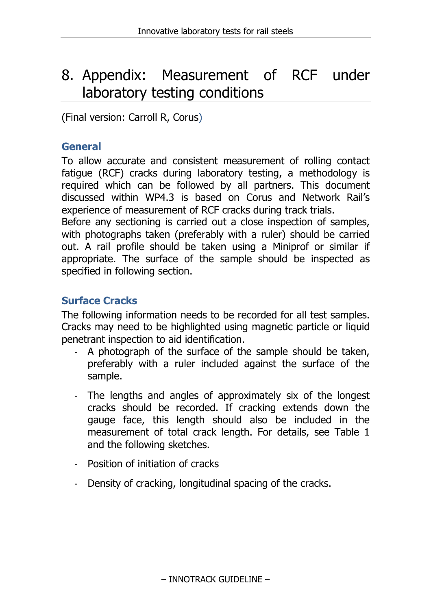# 8. Appendix: Measurement of RCF under laboratory testing conditions

(Final version: Carroll R, Corus)

#### **General**

To allow accurate and consistent measurement of rolling contact fatigue (RCF) cracks during laboratory testing, a methodology is required which can be followed by all partners. This document discussed within WP4.3 is based on Corus and Network Rail's experience of measurement of RCF cracks during track trials.

Before any sectioning is carried out a close inspection of samples, with photographs taken (preferably with a ruler) should be carried out. A rail profile should be taken using a Miniprof or similar if appropriate. The surface of the sample should be inspected as specified in following section.

#### **Surface Cracks**

The following information needs to be recorded for all test samples. Cracks may need to be highlighted using magnetic particle or liquid penetrant inspection to aid identification.

- A photograph of the surface of the sample should be taken, preferably with a ruler included against the surface of the sample.
- The lengths and angles of approximately six of the longest cracks should be recorded. If cracking extends down the gauge face, this length should also be included in the measurement of total crack length. For details, see Table 1 and the following sketches.
- Position of initiation of cracks
- Density of cracking, longitudinal spacing of the cracks.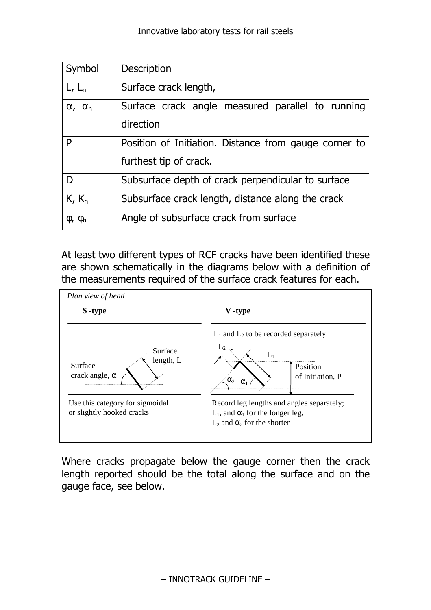| Symbol                           | Description                                           |  |  |  |
|----------------------------------|-------------------------------------------------------|--|--|--|
| $L, L_n$                         | Surface crack length,                                 |  |  |  |
| $\alpha$ , $\alpha$ <sub>n</sub> | Surface crack angle measured parallel to running      |  |  |  |
|                                  | direction                                             |  |  |  |
| P                                | Position of Initiation. Distance from gauge corner to |  |  |  |
|                                  | furthest tip of crack.                                |  |  |  |
| D                                | Subsurface depth of crack perpendicular to surface    |  |  |  |
| $K, K_n$                         | Subsurface crack length, distance along the crack     |  |  |  |
| $\Phi$ , $\Phi$ <sub>n</sub>     | Angle of subsurface crack from surface                |  |  |  |

At least two different types of RCF cracks have been identified these are shown schematically in the diagrams below with a definition of the measurements required of the surface crack features for each.



Where cracks propagate below the gauge corner then the crack length reported should be the total along the surface and on the gauge face, see below.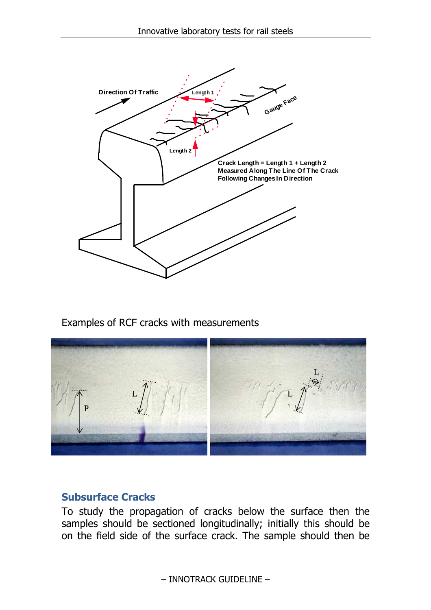

Examples of RCF cracks with measurements



#### **Subsurface Cracks**

To study the propagation of cracks below the surface then the samples should be sectioned longitudinally; initially this should be on the field side of the surface crack. The sample should then be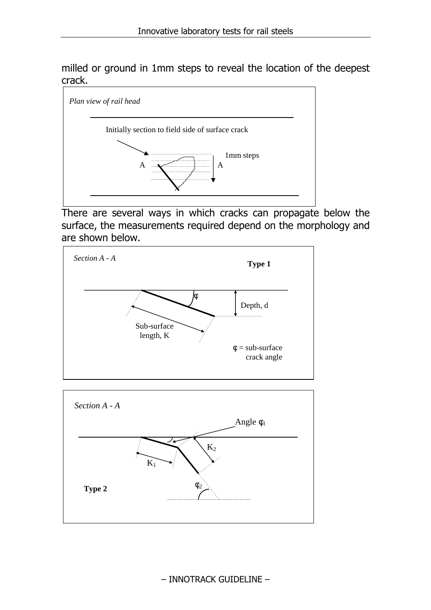milled or ground in 1mm steps to reveal the location of the deepest crack.



There are several ways in which cracks can propagate below the surface, the measurements required depend on the morphology and are shown below.



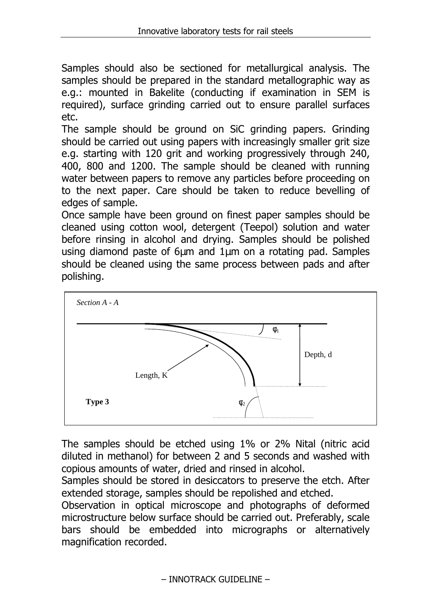Samples should also be sectioned for metallurgical analysis. The samples should be prepared in the standard metallographic way as e.g.: mounted in Bakelite (conducting if examination in SEM is required), surface grinding carried out to ensure parallel surfaces etc.

The sample should be ground on SiC grinding papers. Grinding should be carried out using papers with increasingly smaller grit size e.g. starting with 120 grit and working progressively through 240, 400, 800 and 1200. The sample should be cleaned with running water between papers to remove any particles before proceeding on to the next paper. Care should be taken to reduce bevelling of edges of sample.

Once sample have been ground on finest paper samples should be cleaned using cotton wool, detergent (Teepol) solution and water before rinsing in alcohol and drying. Samples should be polished using diamond paste of 6µm and 1µm on a rotating pad. Samples should be cleaned using the same process between pads and after polishing.



The samples should be etched using 1% or 2% Nital (nitric acid diluted in methanol) for between 2 and 5 seconds and washed with copious amounts of water, dried and rinsed in alcohol.

Samples should be stored in desiccators to preserve the etch. After extended storage, samples should be repolished and etched.

Observation in optical microscope and photographs of deformed microstructure below surface should be carried out. Preferably, scale bars should be embedded into micrographs or alternatively magnification recorded.